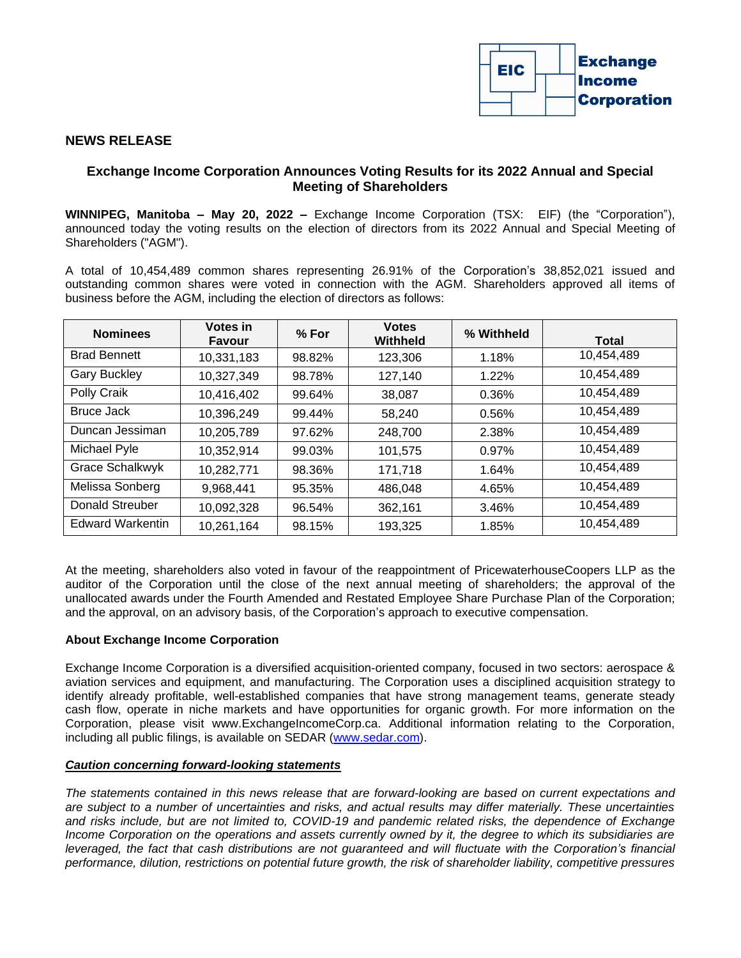

## **NEWS RELEASE**

# **Exchange Income Corporation Announces Voting Results for its 2022 Annual and Special Meeting of Shareholders**

**WINNIPEG, Manitoba – May 20, 2022 –** Exchange Income Corporation (TSX: EIF) (the "Corporation"), announced today the voting results on the election of directors from its 2022 Annual and Special Meeting of Shareholders ("AGM").

A total of 10,454,489 common shares representing 26.91% of the Corporation's 38,852,021 issued and outstanding common shares were voted in connection with the AGM. Shareholders approved all items of business before the AGM, including the election of directors as follows:

| <b>Nominees</b>         | Votes in<br>Favour | % For  | <b>Votes</b><br>Withheld | % Withheld | <b>Total</b> |
|-------------------------|--------------------|--------|--------------------------|------------|--------------|
| <b>Brad Bennett</b>     | 10,331,183         | 98.82% | 123,306                  | 1.18%      | 10,454,489   |
| <b>Gary Buckley</b>     | 10,327,349         | 98.78% | 127,140                  | 1.22%      | 10,454,489   |
| Polly Craik             | 10,416,402         | 99.64% | 38,087                   | 0.36%      | 10,454,489   |
| Bruce Jack              | 10.396.249         | 99.44% | 58.240                   | 0.56%      | 10,454,489   |
| Duncan Jessiman         | 10,205,789         | 97.62% | 248,700                  | 2.38%      | 10,454,489   |
| Michael Pyle            | 10,352,914         | 99.03% | 101,575                  | 0.97%      | 10.454.489   |
| <b>Grace Schalkwyk</b>  | 10,282,771         | 98.36% | 171,718                  | 1.64%      | 10,454,489   |
| Melissa Sonberg         | 9,968,441          | 95.35% | 486,048                  | 4.65%      | 10,454,489   |
| Donald Streuber         | 10,092,328         | 96.54% | 362,161                  | 3.46%      | 10,454,489   |
| <b>Edward Warkentin</b> | 10,261,164         | 98.15% | 193,325                  | 1.85%      | 10,454,489   |

At the meeting, shareholders also voted in favour of the reappointment of PricewaterhouseCoopers LLP as the auditor of the Corporation until the close of the next annual meeting of shareholders; the approval of the unallocated awards under the Fourth Amended and Restated Employee Share Purchase Plan of the Corporation; and the approval, on an advisory basis, of the Corporation's approach to executive compensation.

#### **About Exchange Income Corporation**

Exchange Income Corporation is a diversified acquisition-oriented company, focused in two sectors: aerospace & aviation services and equipment, and manufacturing. The Corporation uses a disciplined acquisition strategy to identify already profitable, well-established companies that have strong management teams, generate steady cash flow, operate in niche markets and have opportunities for organic growth. For more information on the Corporation, please visit www.ExchangeIncomeCorp.ca. Additional information relating to the Corporation, including all public filings, is available on SEDAR [\(www.sedar.com\)](http://www.sedar.com/).

## *Caution concerning forward-looking statements*

*The statements contained in this news release that are forward-looking are based on current expectations and are subject to a number of uncertainties and risks, and actual results may differ materially. These uncertainties and risks include, but are not limited to, COVID-19 and pandemic related risks, the dependence of Exchange Income Corporation on the operations and assets currently owned by it, the degree to which its subsidiaries are* leveraged, the fact that cash distributions are not quaranteed and will fluctuate with the Corporation's financial *performance, dilution, restrictions on potential future growth, the risk of shareholder liability, competitive pressures*